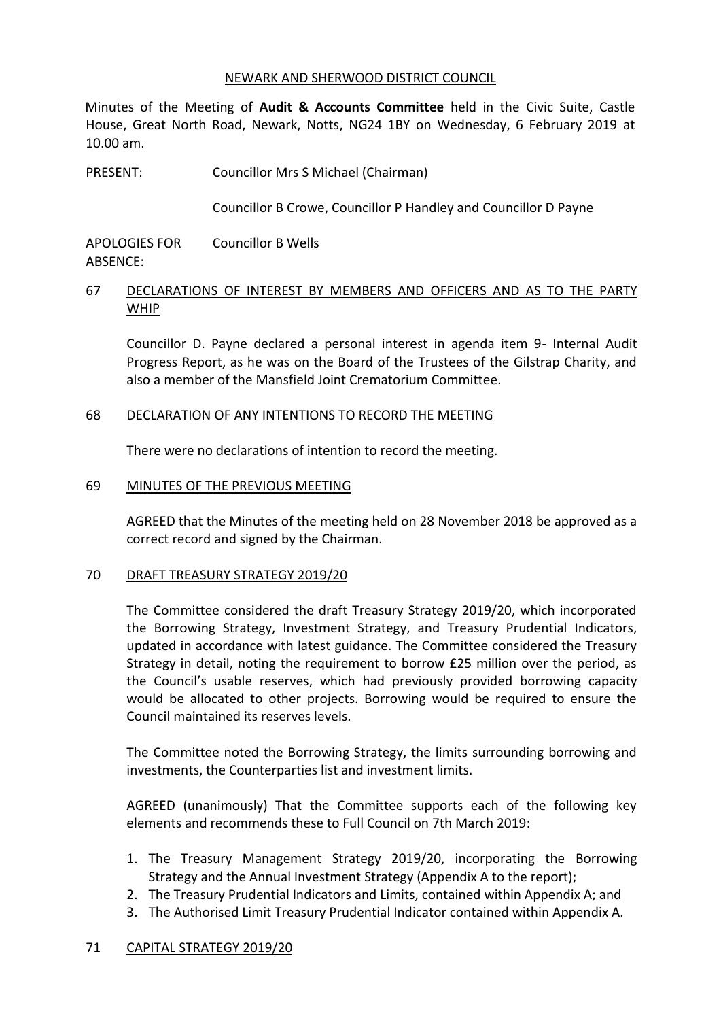#### NEWARK AND SHERWOOD DISTRICT COUNCIL

Minutes of the Meeting of **Audit & Accounts Committee** held in the Civic Suite, Castle House, Great North Road, Newark, Notts, NG24 1BY on Wednesday, 6 February 2019 at 10.00 am.

PRESENT: Councillor Mrs S Michael (Chairman)

Councillor B Crowe, Councillor P Handley and Councillor D Payne

APOLOGIES FOR ABSENCE: Councillor B Wells

# 67 DECLARATIONS OF INTEREST BY MEMBERS AND OFFICERS AND AS TO THE PARTY WHIP

Councillor D. Payne declared a personal interest in agenda item 9- Internal Audit Progress Report, as he was on the Board of the Trustees of the Gilstrap Charity, and also a member of the Mansfield Joint Crematorium Committee.

#### 68 DECLARATION OF ANY INTENTIONS TO RECORD THE MEETING

There were no declarations of intention to record the meeting.

#### 69 MINUTES OF THE PREVIOUS MEETING

AGREED that the Minutes of the meeting held on 28 November 2018 be approved as a correct record and signed by the Chairman.

#### 70 DRAFT TREASURY STRATEGY 2019/20

The Committee considered the draft Treasury Strategy 2019/20, which incorporated the Borrowing Strategy, Investment Strategy, and Treasury Prudential Indicators, updated in accordance with latest guidance. The Committee considered the Treasury Strategy in detail, noting the requirement to borrow £25 million over the period, as the Council's usable reserves, which had previously provided borrowing capacity would be allocated to other projects. Borrowing would be required to ensure the Council maintained its reserves levels.

The Committee noted the Borrowing Strategy, the limits surrounding borrowing and investments, the Counterparties list and investment limits.

AGREED (unanimously) That the Committee supports each of the following key elements and recommends these to Full Council on 7th March 2019:

- 1. The Treasury Management Strategy 2019/20, incorporating the Borrowing Strategy and the Annual Investment Strategy (Appendix A to the report);
- 2. The Treasury Prudential Indicators and Limits, contained within Appendix A; and
- 3. The Authorised Limit Treasury Prudential Indicator contained within Appendix A.

#### 71 CAPITAL STRATEGY 2019/20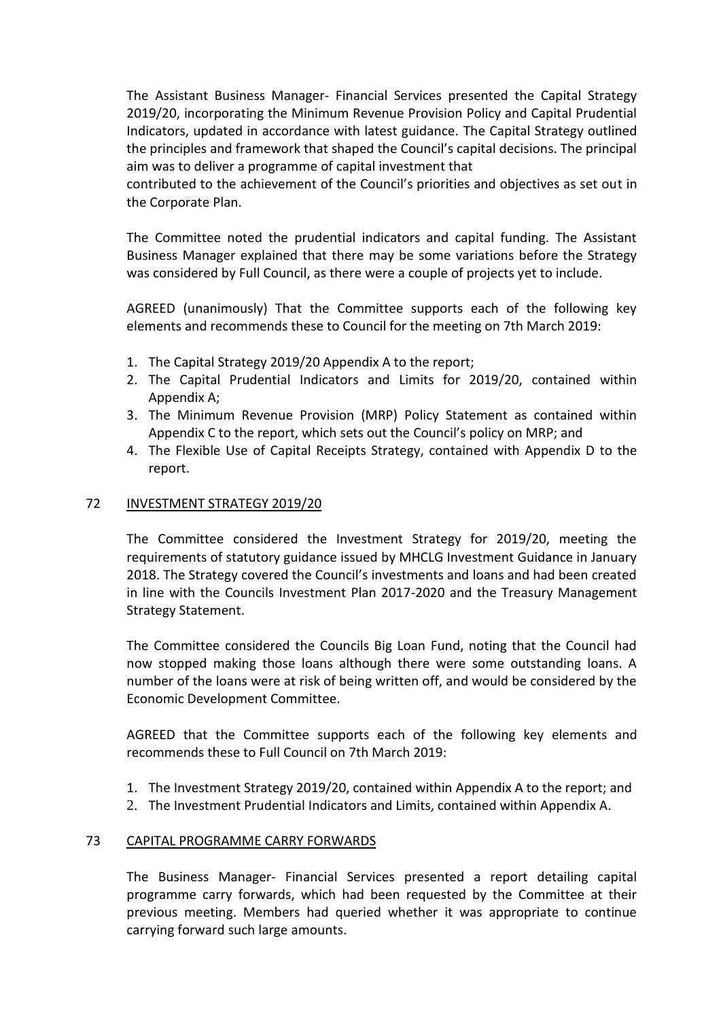The Assistant Business Manager- Financial Services presented the Capital Strategy 2019/20, incorporating the Minimum Revenue Provision Policy and Capital Prudential Indicators, updated in accordance with latest guidance. The Capital Strategy outlined the principles and framework that shaped the Council's capital decisions. The principal aim was to deliver a programme of capital investment that

contributed to the achievement of the Council's priorities and objectives as set out in the Corporate Plan.

The Committee noted the prudential indicators and capital funding. The Assistant Business Manager explained that there may be some variations before the Strategy was considered by Full Council, as there were a couple of projects yet to include.

AGREED (unanimously) That the Committee supports each of the following key elements and recommends these to Council for the meeting on 7th March 2019:

- 1. The Capital Strategy 2019/20 Appendix A to the report;
- 2. The Capital Prudential Indicators and Limits for 2019/20, contained within Appendix A;
- 3. The Minimum Revenue Provision (MRP) Policy Statement as contained within Appendix C to the report, which sets out the Council's policy on MRP; and
- 4. The Flexible Use of Capital Receipts Strategy, contained with Appendix D to the report.

#### 72 INVESTMENT STRATEGY 2019/20

The Committee considered the Investment Strategy for 2019/20, meeting the requirements of statutory guidance issued by MHCLG Investment Guidance in January 2018. The Strategy covered the Council's investments and loans and had been created in line with the Councils Investment Plan 2017-2020 and the Treasury Management Strategy Statement.

The Committee considered the Councils Big Loan Fund, noting that the Council had now stopped making those loans although there were some outstanding loans. A number of the loans were at risk of being written off, and would be considered by the Economic Development Committee.

AGREED that the Committee supports each of the following key elements and recommends these to Full Council on 7th March 2019:

- 1. The Investment Strategy 2019/20, contained within Appendix A to the report; and
- 2. The Investment Prudential Indicators and Limits, contained within Appendix A.

#### 73 CAPITAL PROGRAMME CARRY FORWARDS

The Business Manager- Financial Services presented a report detailing capital programme carry forwards, which had been requested by the Committee at their previous meeting. Members had queried whether it was appropriate to continue carrying forward such large amounts.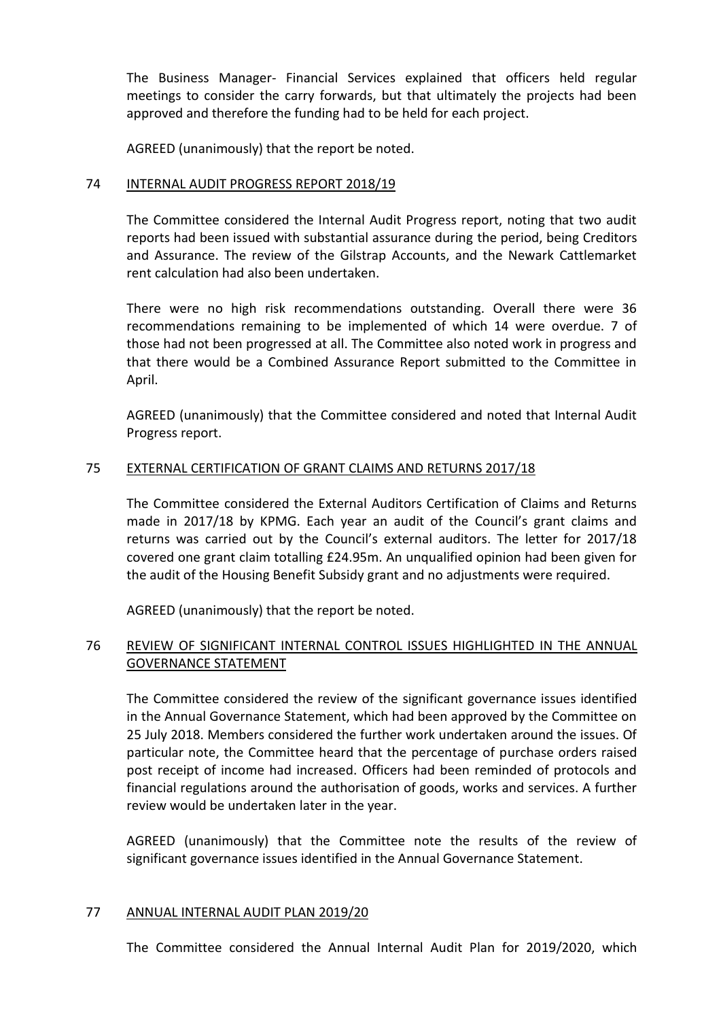The Business Manager- Financial Services explained that officers held regular meetings to consider the carry forwards, but that ultimately the projects had been approved and therefore the funding had to be held for each project.

AGREED (unanimously) that the report be noted.

## 74 INTERNAL AUDIT PROGRESS REPORT 2018/19

The Committee considered the Internal Audit Progress report, noting that two audit reports had been issued with substantial assurance during the period, being Creditors and Assurance. The review of the Gilstrap Accounts, and the Newark Cattlemarket rent calculation had also been undertaken.

There were no high risk recommendations outstanding. Overall there were 36 recommendations remaining to be implemented of which 14 were overdue. 7 of those had not been progressed at all. The Committee also noted work in progress and that there would be a Combined Assurance Report submitted to the Committee in April.

AGREED (unanimously) that the Committee considered and noted that Internal Audit Progress report.

# 75 EXTERNAL CERTIFICATION OF GRANT CLAIMS AND RETURNS 2017/18

The Committee considered the External Auditors Certification of Claims and Returns made in 2017/18 by KPMG. Each year an audit of the Council's grant claims and returns was carried out by the Council's external auditors. The letter for 2017/18 covered one grant claim totalling £24.95m. An unqualified opinion had been given for the audit of the Housing Benefit Subsidy grant and no adjustments were required.

AGREED (unanimously) that the report be noted.

# 76 REVIEW OF SIGNIFICANT INTERNAL CONTROL ISSUES HIGHLIGHTED IN THE ANNUAL GOVERNANCE STATEMENT

The Committee considered the review of the significant governance issues identified in the Annual Governance Statement, which had been approved by the Committee on 25 July 2018. Members considered the further work undertaken around the issues. Of particular note, the Committee heard that the percentage of purchase orders raised post receipt of income had increased. Officers had been reminded of protocols and financial regulations around the authorisation of goods, works and services. A further review would be undertaken later in the year.

AGREED (unanimously) that the Committee note the results of the review of significant governance issues identified in the Annual Governance Statement.

#### 77 ANNUAL INTERNAL AUDIT PLAN 2019/20

The Committee considered the Annual Internal Audit Plan for 2019/2020, which